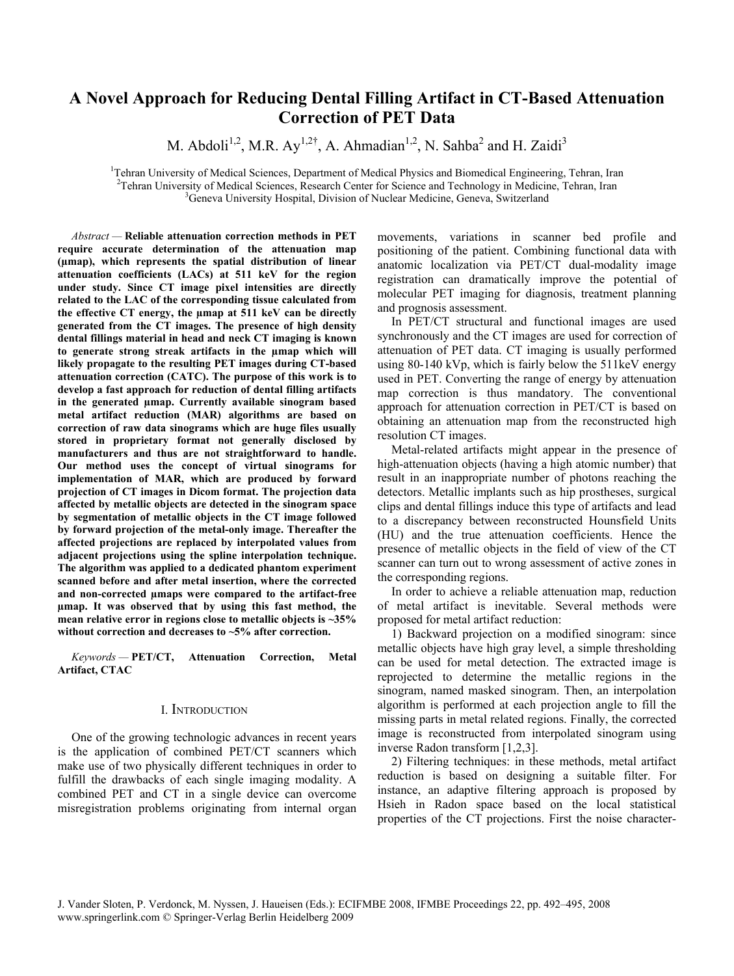# **A Novel Approach for Reducing Dental Filling Artifact in CT-Based Attenuation Correction of PET Data**

M. Abdoli<sup>1,2</sup>, M.R. Ay<sup>1,2†</sup>, A. Ahmadian<sup>1,2</sup>, N. Sahba<sup>2</sup> and H. Zaidi<sup>3</sup>

<sup>1</sup>Tehran University of Medical Sciences, Department of Medical Physics and Biomedical Engineering, Tehran, Iran <sup>2</sup>Tehran, Iran <sup>2</sup>Tehran, Iran <sup>2</sup>Tehran, Iran <sup>2</sup>Tehran, Iran <sup>2</sup>Tehran, Iran <sup>2</sup>Tehran, Iran 2008 <sup>2</sup>Tehran University of Medical Sciences, Research Center for Science and Technology in Medicine, Tehran, Iran <sup>3</sup>Geneva University Hospital, Division of Nuclear Medicine, Geneva, Switzerland

*Abstract —* **Reliable attenuation correction methods in PET require accurate determination of the attenuation map (µmap), which represents the spatial distribution of linear attenuation coefficients (LACs) at 511 keV for the region under study. Since CT image pixel intensities are directly related to the LAC of the corresponding tissue calculated from the effective CT energy, the µmap at 511 keV can be directly generated from the CT images. The presence of high density dental fillings material in head and neck CT imaging is known to generate strong streak artifacts in the µmap which will likely propagate to the resulting PET images during CT-based attenuation correction (CATC). The purpose of this work is to develop a fast approach for reduction of dental filling artifacts in the generated µmap. Currently available sinogram based metal artifact reduction (MAR) algorithms are based on correction of raw data sinograms which are huge files usually stored in proprietary format not generally disclosed by manufacturers and thus are not straightforward to handle. Our method uses the concept of virtual sinograms for implementation of MAR, which are produced by forward projection of CT images in Dicom format. The projection data affected by metallic objects are detected in the sinogram space by segmentation of metallic objects in the CT image followed by forward projection of the metal-only image. Thereafter the affected projections are replaced by interpolated values from adjacent projections using the spline interpolation technique. The algorithm was applied to a dedicated phantom experiment scanned before and after metal insertion, where the corrected and non-corrected µmaps were compared to the artifact-free µmap. It was observed that by using this fast method, the mean relative error in regions close to metallic objects is ~35% without correction and decreases to ~5% after correction.** 

*Keywords —* **PET/CT, Attenuation Correction, Metal Artifact, CTAC** 

### I. INTRODUCTION

One of the growing technologic advances in recent years is the application of combined PET/CT scanners which make use of two physically different techniques in order to fulfill the drawbacks of each single imaging modality. A combined PET and CT in a single device can overcome misregistration problems originating from internal organ movements, variations in scanner bed profile and positioning of the patient. Combining functional data with anatomic localization via PET/CT dual-modality image registration can dramatically improve the potential of molecular PET imaging for diagnosis, treatment planning and prognosis assessment.

In PET/CT structural and functional images are used synchronously and the CT images are used for correction of attenuation of PET data. CT imaging is usually performed using 80-140 kVp, which is fairly below the 511keV energy used in PET. Converting the range of energy by attenuation map correction is thus mandatory. The conventional approach for attenuation correction in PET/CT is based on obtaining an attenuation map from the reconstructed high resolution CT images.

Metal-related artifacts might appear in the presence of high-attenuation objects (having a high atomic number) that result in an inappropriate number of photons reaching the detectors. Metallic implants such as hip prostheses, surgical clips and dental fillings induce this type of artifacts and lead to a discrepancy between reconstructed Hounsfield Units (HU) and the true attenuation coefficients. Hence the presence of metallic objects in the field of view of the CT scanner can turn out to wrong assessment of active zones in the corresponding regions.

In order to achieve a reliable attenuation map, reduction of metal artifact is inevitable. Several methods were proposed for metal artifact reduction:

1) Backward projection on a modified sinogram: since metallic objects have high gray level, a simple thresholding can be used for metal detection. The extracted image is reprojected to determine the metallic regions in the sinogram, named masked sinogram. Then, an interpolation algorithm is performed at each projection angle to fill the missing parts in metal related regions. Finally, the corrected image is reconstructed from interpolated sinogram using inverse Radon transform [1,2,3].

2) Filtering techniques: in these methods, metal artifact reduction is based on designing a suitable filter. For instance, an adaptive filtering approach is proposed by Hsieh in Radon space based on the local statistical properties of the CT projections. First the noise character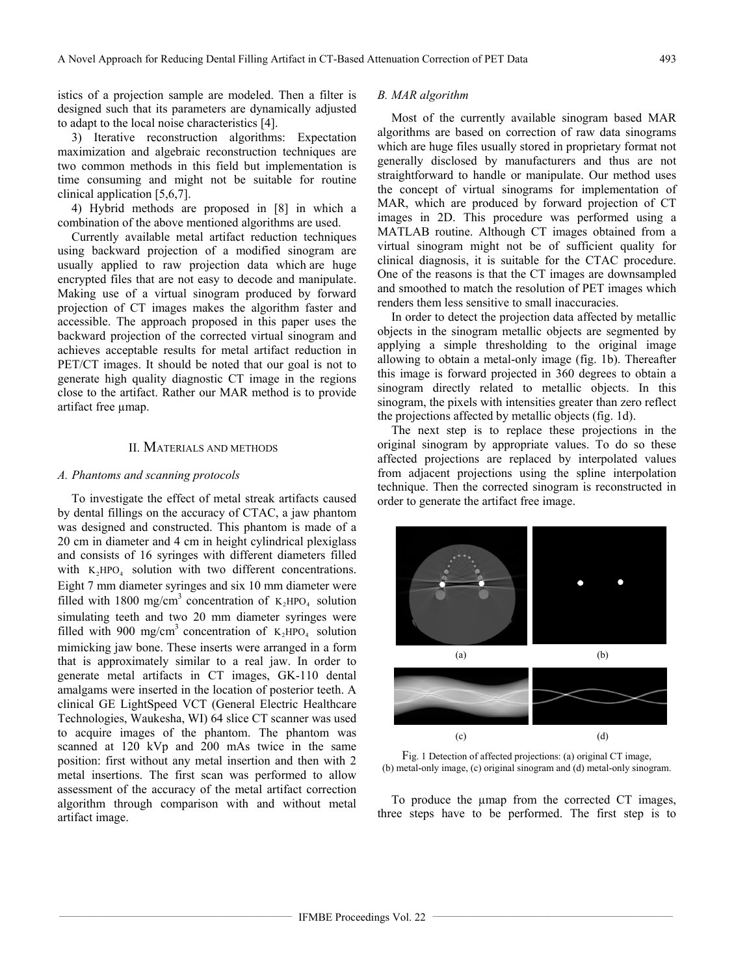istics of a projection sample are modeled. Then a filter is designed such that its parameters are dynamically adjusted to adapt to the local noise characteristics [4].

3) Iterative reconstruction algorithms: Expectation maximization and algebraic reconstruction techniques are two common methods in this field but implementation is time consuming and might not be suitable for routine clinical application [5,6,7].

4) Hybrid methods are proposed in [8] in which a combination of the above mentioned algorithms are used.

Currently available metal artifact reduction techniques using backward projection of a modified sinogram are usually applied to raw projection data which are huge encrypted files that are not easy to decode and manipulate. Making use of a virtual sinogram produced by forward projection of CT images makes the algorithm faster and accessible. The approach proposed in this paper uses the backward projection of the corrected virtual sinogram and achieves acceptable results for metal artifact reduction in PET/CT images. It should be noted that our goal is not to generate high quality diagnostic CT image in the regions close to the artifact. Rather our MAR method is to provide artifact free umap.

## II. MATERIALS AND METHODS

## *A. Phantoms and scanning protocols*

To investigate the effect of metal streak artifacts caused by dental fillings on the accuracy of CTAC, a jaw phantom was designed and constructed. This phantom is made of a 20 cm in diameter and 4 cm in height cylindrical plexiglass and consists of 16 syringes with different diameters filled with  $K_2HPO_4$  solution with two different concentrations. Eight 7 mm diameter syringes and six 10 mm diameter were filled with 1800 mg/cm<sup>3</sup> concentration of  $K_2 HPO_4$  solution simulating teeth and two 20 mm diameter syringes were filled with 900 mg/cm<sup>3</sup> concentration of  $K_2HPO_4$  solution mimicking jaw bone. These inserts were arranged in a form that is approximately similar to a real jaw. In order to generate metal artifacts in CT images, GK-110 dental amalgams were inserted in the location of posterior teeth. A clinical GE LightSpeed VCT (General Electric Healthcare Technologies, Waukesha, WI) 64 slice CT scanner was used to acquire images of the phantom. The phantom was scanned at 120 kVp and 200 mAs twice in the same position: first without any metal insertion and then with 2 metal insertions. The first scan was performed to allow assessment of the accuracy of the metal artifact correction algorithm through comparison with and without metal artifact image.

## *B. MAR algorithm*

Most of the currently available sinogram based MAR algorithms are based on correction of raw data sinograms which are huge files usually stored in proprietary format not generally disclosed by manufacturers and thus are not straightforward to handle or manipulate. Our method uses the concept of virtual sinograms for implementation of MAR, which are produced by forward projection of CT images in 2D. This procedure was performed using a MATLAB routine. Although CT images obtained from a virtual sinogram might not be of sufficient quality for clinical diagnosis, it is suitable for the CTAC procedure. One of the reasons is that the CT images are downsampled and smoothed to match the resolution of PET images which renders them less sensitive to small inaccuracies.

In order to detect the projection data affected by metallic objects in the sinogram metallic objects are segmented by applying a simple thresholding to the original image allowing to obtain a metal-only image (fig. 1b). Thereafter this image is forward projected in 360 degrees to obtain a sinogram directly related to metallic objects. In this sinogram, the pixels with intensities greater than zero reflect the projections affected by metallic objects (fig. 1d).

The next step is to replace these projections in the original sinogram by appropriate values. To do so these affected projections are replaced by interpolated values from adjacent projections using the spline interpolation technique. Then the corrected sinogram is reconstructed in order to generate the artifact free image.





To produce the  $\mu$ map from the corrected CT images, three steps have to be performed. The first step is to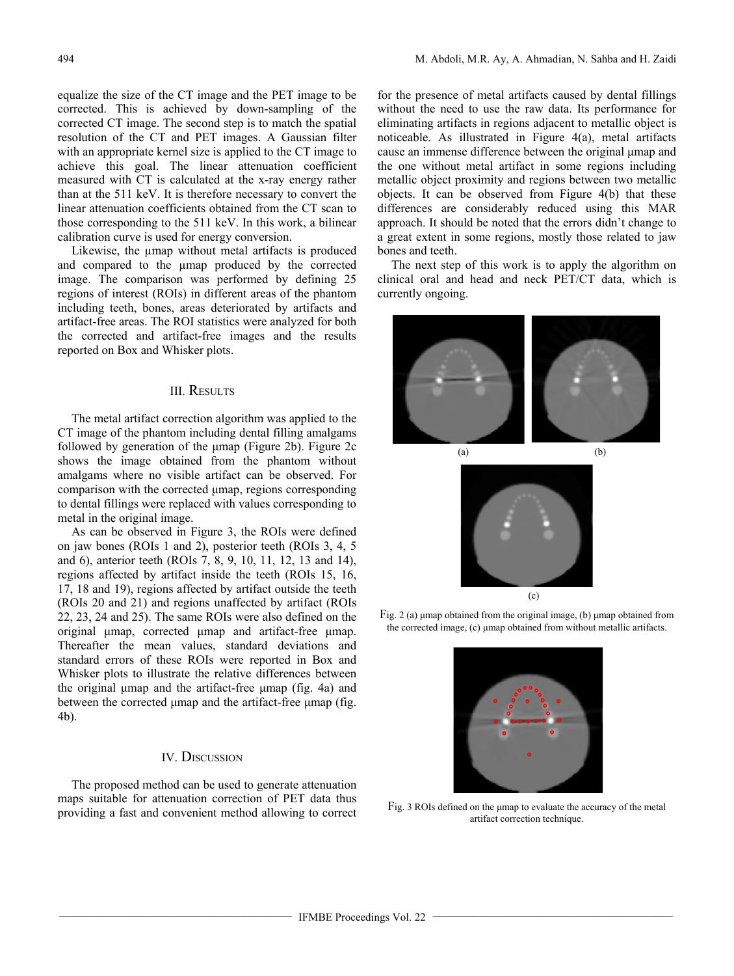equalize the size of the CT image and the PET image to be corrected. This is achieved by down-sampling of the corrected CT image. The second step is to match the spatial resolution of the CT and PET images. A Gaussian filter with an appropriate kernel size is applied to the CT image to achieve this goal. The linear attenuation coefficient measured with CT is calculated at the x-ray energy rather than at the 511 keV. It is therefore necessary to convert the linear attenuation coefficients obtained from the CT scan to those corresponding to the 511 keV. In this work, a bilinear calibration curve is used for energy conversion.

Likewise, the µmap without metal artifacts is produced and compared to the umap produced by the corrected image. The comparison was performed by defining 25 regions of interest (ROIs) in different areas of the phantom including teeth, bones, areas deteriorated by artifacts and artifact-free areas. The ROI statistics were analyzed for both the corrected and artifact-free images and the results reported on Box and Whisker plots.

# III. RESULTS

The metal artifact correction algorithm was applied to the CT image of the phantom including dental filling amalgams followed by generation of the μmap (Figure 2b). Figure 2c shows the image obtained from the phantom without amalgams where no visible artifact can be observed. For comparison with the corrected μmap, regions corresponding to dental fillings were replaced with values corresponding to metal in the original image.

As can be observed in Figure 3, the ROIs were defined on jaw bones (ROIs 1 and 2), posterior teeth (ROIs 3, 4, 5 and 6), anterior teeth (ROIs 7, 8, 9, 10, 11, 12, 13 and 14), regions affected by artifact inside the teeth (ROIs 15, 16, 17, 18 and 19), regions affected by artifact outside the teeth (ROIs 20 and 21) and regions unaffected by artifact (ROIs 22, 23, 24 and 25). The same ROIs were also defined on the original μmap, corrected μmap and artifact-free μmap. Thereafter the mean values, standard deviations and standard errors of these ROIs were reported in Box and Whisker plots to illustrate the relative differences between the original μmap and the artifact-free μmap (fig. 4a) and between the corrected umap and the artifact-free umap (fig. 4b).

## IV. DISCUSSION

The proposed method can be used to generate attenuation maps suitable for attenuation correction of PET data thus providing a fast and convenient method allowing to correct for the presence of metal artifacts caused by dental fillings without the need to use the raw data. Its performance for eliminating artifacts in regions adjacent to metallic object is noticeable. As illustrated in Figure 4(a), metal artifacts cause an immense difference between the original μmap and the one without metal artifact in some regions including metallic object proximity and regions between two metallic objects. It can be observed from Figure 4(b) that these differences are considerably reduced using this MAR approach. It should be noted that the errors didn't change to a great extent in some regions, mostly those related to jaw bones and teeth.

The next step of this work is to apply the algorithm on clinical oral and head and neck PET/CT data, which is currently ongoing.





Fig. 2 (a) μmap obtained from the original image, (b) μmap obtained from the corrected image, (c) μmap obtained from without metallic artifacts.



Fig. 3 ROIs defined on the μmap to evaluate the accuracy of the metal artifact correction technique.